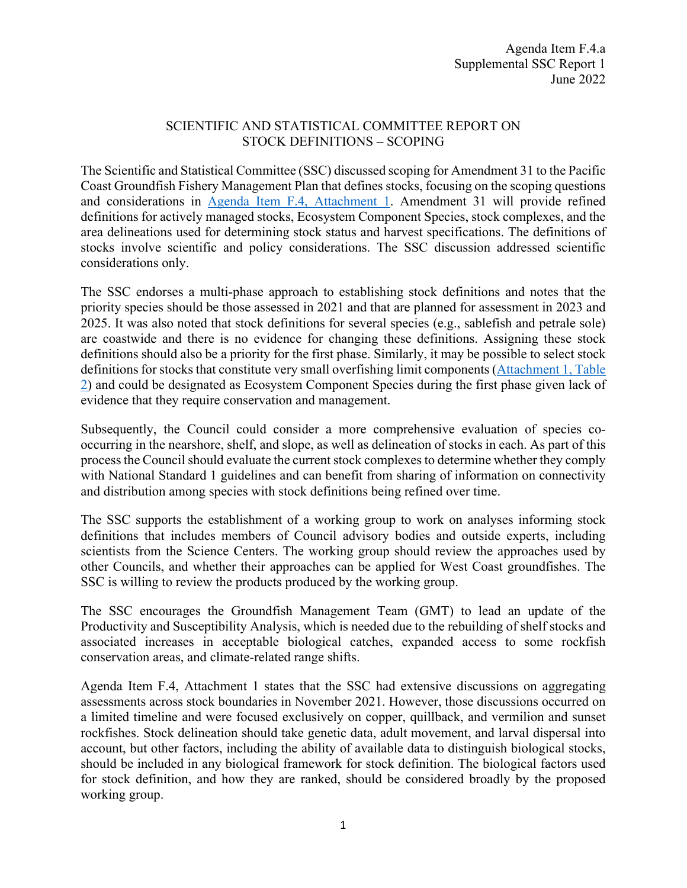## SCIENTIFIC AND STATISTICAL COMMITTEE REPORT ON STOCK DEFINITIONS – SCOPING

The Scientific and Statistical Committee (SSC) discussed scoping for Amendment 31 to the Pacific Coast Groundfish Fishery Management Plan that defines stocks, focusing on the scoping questions and considerations in [Agenda Item F.4, Attachment 1.](https://www.pcouncil.org/documents/2022/05/f-4-attachment-1-scoping-an-amendment-to-the-pacific-coast-groundfish-fishery-management-plan-to-define-stocks.pdf/) Amendment 31 will provide refined definitions for actively managed stocks, Ecosystem Component Species, stock complexes, and the area delineations used for determining stock status and harvest specifications. The definitions of stocks involve scientific and policy considerations. The SSC discussion addressed scientific considerations only.

The SSC endorses a multi-phase approach to establishing stock definitions and notes that the priority species should be those assessed in 2021 and that are planned for assessment in 2023 and 2025. It was also noted that stock definitions for several species (e.g., sablefish and petrale sole) are coastwide and there is no evidence for changing these definitions. Assigning these stock definitions should also be a priority for the first phase. Similarly, it may be possible to select stock definitions for stocks that constitute very small overfishing limit components ([Attachment 1, Table](https://www.pcouncil.org/documents/2022/05/f-4-attachment-1-scoping-an-amendment-to-the-pacific-coast-groundfish-fishery-management-plan-to-define-stocks.pdf/#page=16)  2) and could be designated as Ecosystem Component Species during the first phase given lack of evidence that they require conservation and management.

Subsequently, the Council could consider a more comprehensive evaluation of species cooccurring in the nearshore, shelf, and slope, as well as delineation of stocks in each. As part of this process the Council should evaluate the current stock complexes to determine whether they comply with National Standard 1 guidelines and can benefit from sharing of information on connectivity and distribution among species with stock definitions being refined over time.

The SSC supports the establishment of a working group to work on analyses informing stock definitions that includes members of Council advisory bodies and outside experts, including scientists from the Science Centers. The working group should review the approaches used by other Councils, and whether their approaches can be applied for West Coast groundfishes. The SSC is willing to review the products produced by the working group.

The SSC encourages the Groundfish Management Team (GMT) to lead an update of the Productivity and Susceptibility Analysis, which is needed due to the rebuilding of shelf stocks and associated increases in acceptable biological catches, expanded access to some rockfish conservation areas, and climate-related range shifts.

Agenda Item F.4, Attachment 1 states that the SSC had extensive discussions on aggregating assessments across stock boundaries in November 2021. However, those discussions occurred on a limited timeline and were focused exclusively on copper, quillback, and vermilion and sunset rockfishes. Stock delineation should take genetic data, adult movement, and larval dispersal into account, but other factors, including the ability of available data to distinguish biological stocks, should be included in any biological framework for stock definition. The biological factors used for stock definition, and how they are ranked, should be considered broadly by the proposed working group.